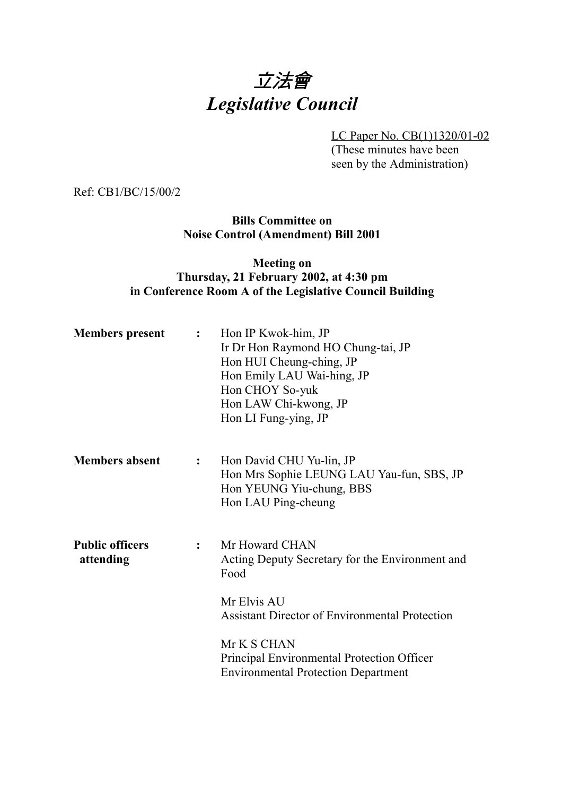# 立法會 *Legislative Council*

LC Paper No. CB(1)1320/01-02 (These minutes have been seen by the Administration)

Ref: CB1/BC/15/00/2

**Bills Committee on Noise Control (Amendment) Bill 2001**

#### **Meeting on Thursday, 21 February 2002, at 4:30 pm in Conference Room A of the Legislative Council Building**

| <b>Members</b> present              | $\mathbf{L}$ | Hon IP Kwok-him, JP<br>Ir Dr Hon Raymond HO Chung-tai, JP<br>Hon HUI Cheung-ching, JP<br>Hon Emily LAU Wai-hing, JP<br>Hon CHOY So-yuk<br>Hon LAW Chi-kwong, JP<br>Hon LI Fung-ying, JP |
|-------------------------------------|--------------|-----------------------------------------------------------------------------------------------------------------------------------------------------------------------------------------|
| <b>Members absent</b>               | $\mathbf{L}$ | Hon David CHU Yu-lin, JP<br>Hon Mrs Sophie LEUNG LAU Yau-fun, SBS, JP<br>Hon YEUNG Yiu-chung, BBS<br>Hon LAU Ping-cheung                                                                |
| <b>Public officers</b><br>attending | $\mathbf{L}$ | Mr Howard CHAN<br>Acting Deputy Secretary for the Environment and<br>Food<br>Mr Elvis AU<br><b>Assistant Director of Environmental Protection</b>                                       |
|                                     |              | Mr K S CHAN<br>Principal Environmental Protection Officer<br><b>Environmental Protection Department</b>                                                                                 |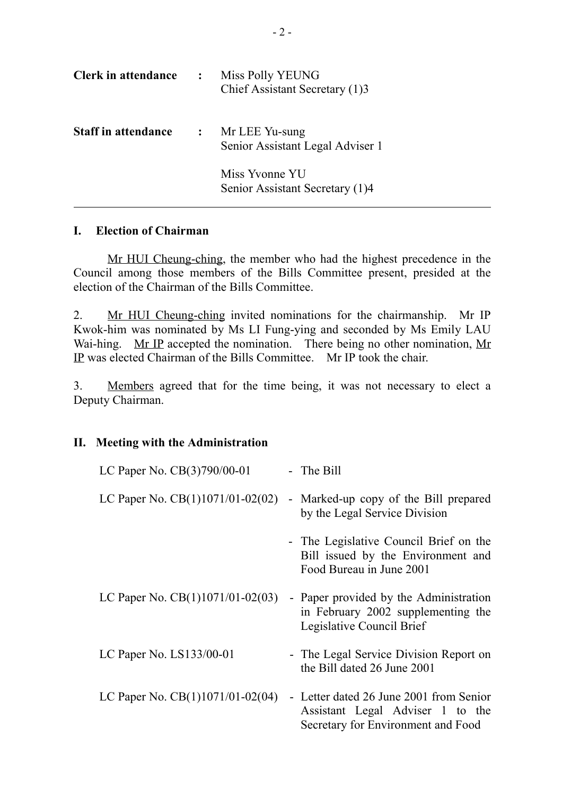| <b>Clerk in attendance</b> | $\ddot{\cdot}$ | Miss Polly YEUNG<br>Chief Assistant Secretary (1)3 |
|----------------------------|----------------|----------------------------------------------------|
| <b>Staff in attendance</b> | $\mathbf{L}$   | Mr LEE Yu-sung<br>Senior Assistant Legal Adviser 1 |
|                            |                | Miss Yvonne YU<br>Senior Assistant Secretary (1)4  |

#### **I. Election of Chairman**

Mr HUI Cheung-ching, the member who had the highest precedence in the Council among those members of the Bills Committee present, presided at the election of the Chairman of the Bills Committee.

2. Mr HUI Cheung-ching invited nominations for the chairmanship. Mr IP Kwok-him was nominated by Ms LI Fung-ying and seconded by Ms Emily LAU Wai-hing. Mr IP accepted the nomination. There being no other nomination, Mr IP was elected Chairman of the Bills Committee. Mr IP took the chair.

3. Members agreed that for the time being, it was not necessary to elect a Deputy Chairman.

#### **II. Meeting with the Administration**

| LC Paper No. CB(3)790/00-01        | - The Bill                                                                                                        |
|------------------------------------|-------------------------------------------------------------------------------------------------------------------|
| LC Paper No. $CB(1)1071/01-02(02)$ | - Marked-up copy of the Bill prepared<br>by the Legal Service Division                                            |
|                                    | - The Legislative Council Brief on the<br>Bill issued by the Environment and<br>Food Bureau in June 2001          |
| LC Paper No. $CB(1)1071/01-02(03)$ | - Paper provided by the Administration<br>in February 2002 supplementing the<br>Legislative Council Brief         |
| LC Paper No. LS133/00-01           | - The Legal Service Division Report on<br>the Bill dated 26 June 2001                                             |
| LC Paper No. $CB(1)1071/01-02(04)$ | - Letter dated 26 June 2001 from Senior<br>Assistant Legal Adviser 1 to the<br>Secretary for Environment and Food |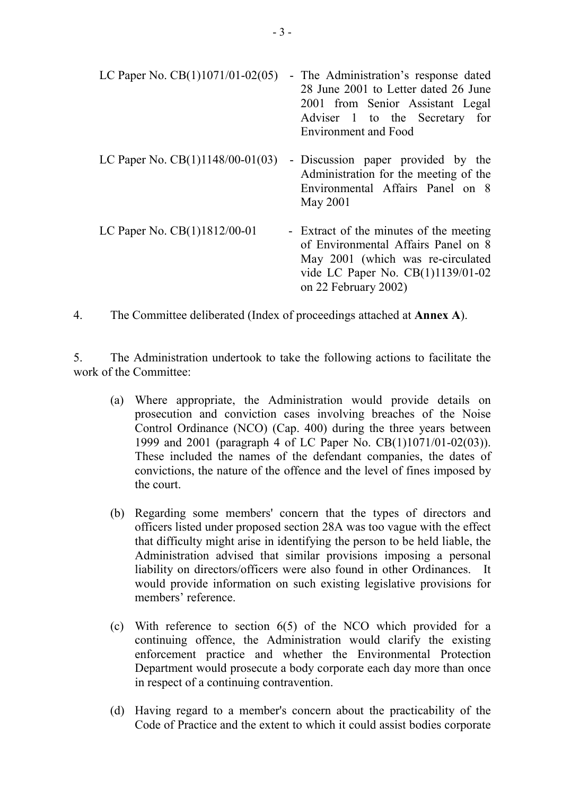| LC Paper No. $CB(1)1071/01-02(05)$ | - The Administration's response dated<br>28 June 2001 to Letter dated 26 June<br>2001 from Senior Assistant Legal<br>Adviser 1 to the Secretary for<br><b>Environment and Food</b> |
|------------------------------------|------------------------------------------------------------------------------------------------------------------------------------------------------------------------------------|
| LC Paper No. $CB(1)1148/00-01(03)$ | - Discussion paper provided by the<br>Administration for the meeting of the<br>Environmental Affairs Panel on 8<br>May 2001                                                        |
| LC Paper No. CB(1)1812/00-01       | - Extract of the minutes of the meeting<br>of Environmental Affairs Panel on 8<br>May 2001 (which was re-circulated<br>vide LC Paper No. CB(1)1139/01-02<br>on 22 February 2002)   |

4. The Committee deliberated (Index of proceedings attached at **Annex A**).

5. The Administration undertook to take the following actions to facilitate the work of the Committee:

- (a) Where appropriate, the Administration would provide details on prosecution and conviction cases involving breaches of the Noise Control Ordinance (NCO) (Cap. 400) during the three years between 1999 and 2001 (paragraph 4 of LC Paper No. CB(1)1071/01-02(03)). These included the names of the defendant companies, the dates of convictions, the nature of the offence and the level of fines imposed by the court.
- (b) Regarding some members' concern that the types of directors and officers listed under proposed section 28A was too vague with the effect that difficulty might arise in identifying the person to be held liable, the Administration advised that similar provisions imposing a personal liability on directors/officers were also found in other Ordinances. It would provide information on such existing legislative provisions for members' reference.
- (c) With reference to section 6(5) of the NCO which provided for a continuing offence, the Administration would clarify the existing enforcement practice and whether the Environmental Protection Department would prosecute a body corporate each day more than once in respect of a continuing contravention.
- (d) Having regard to a member's concern about the practicability of the Code of Practice and the extent to which it could assist bodies corporate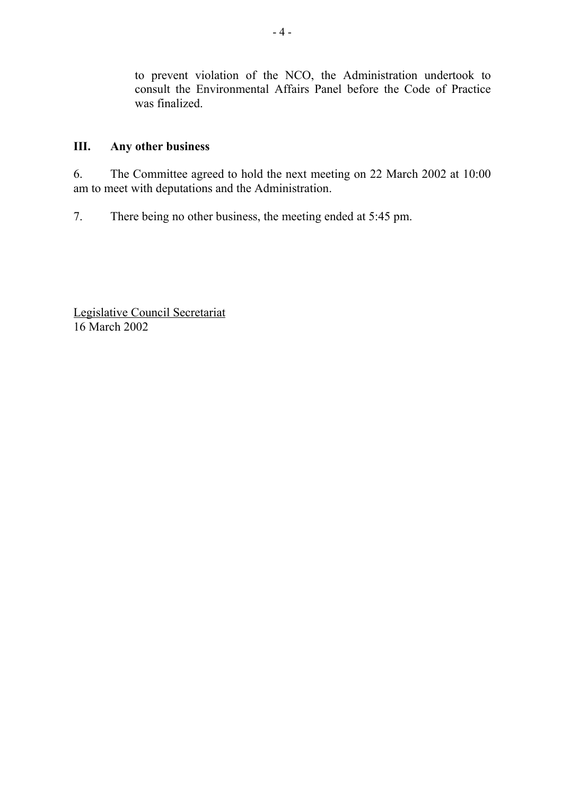to prevent violation of the NCO, the Administration undertook to consult the Environmental Affairs Panel before the Code of Practice was finalized.

#### **III. Any other business**

6. The Committee agreed to hold the next meeting on 22 March 2002 at 10:00 am to meet with deputations and the Administration.

7. There being no other business, the meeting ended at 5:45 pm.

Legislative Council Secretariat 16 March 2002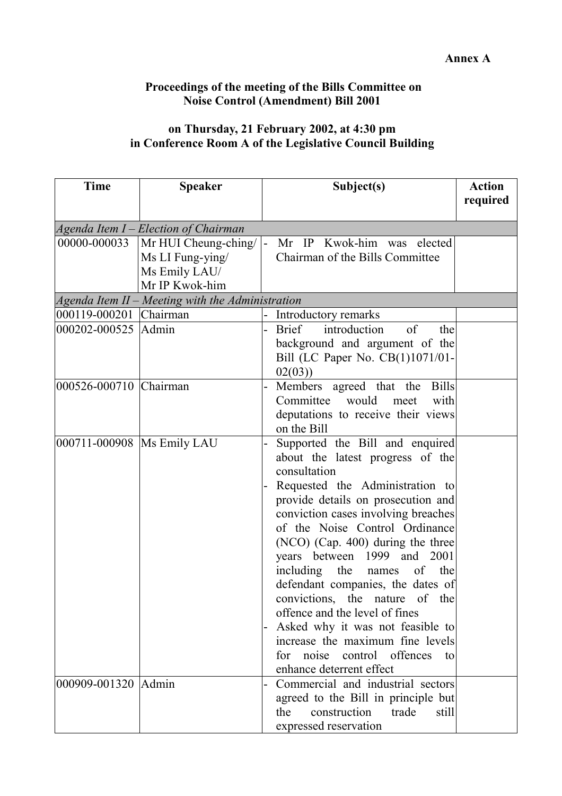### **Proceedings of the meeting of the Bills Committee on Noise Control (Amendment) Bill 2001**

## **on Thursday, 21 February 2002, at 4:30 pm in Conference Room A of the Legislative Council Building**

| <b>Time</b>                  | <b>Speaker</b>                                   |   | Subject(s)                                                            | <b>Action</b> |  |
|------------------------------|--------------------------------------------------|---|-----------------------------------------------------------------------|---------------|--|
|                              |                                                  |   |                                                                       | required      |  |
|                              | Agenda Item I - Election of Chairman             |   |                                                                       |               |  |
| 00000-000033                 | Mr HUI Cheung-ching/                             | – | Mr IP Kwok-him was elected                                            |               |  |
|                              | Ms LI Fung-ying/                                 |   | Chairman of the Bills Committee                                       |               |  |
|                              | Ms Emily LAU/                                    |   |                                                                       |               |  |
|                              | Mr IP Kwok-him                                   |   |                                                                       |               |  |
| 000119-000201 Chairman       | Agenda Item II - Meeting with the Administration |   |                                                                       |               |  |
| 000202-000525 Admin          |                                                  |   | Introductory remarks<br>of<br><b>Brief</b><br>introduction<br>the     |               |  |
|                              |                                                  |   | background and argument of the                                        |               |  |
|                              |                                                  |   | Bill (LC Paper No. CB(1)1071/01-                                      |               |  |
|                              |                                                  |   | 02(03)                                                                |               |  |
| 000526-000710 Chairman       |                                                  |   | Members agreed that the Bills                                         |               |  |
|                              |                                                  |   | Committee would meet<br>with                                          |               |  |
|                              |                                                  |   | deputations to receive their views                                    |               |  |
|                              |                                                  |   | on the Bill                                                           |               |  |
| 000711-000908   Ms Emily LAU |                                                  |   | Supported the Bill and enquired                                       |               |  |
|                              |                                                  |   | about the latest progress of the                                      |               |  |
|                              |                                                  |   | consultation                                                          |               |  |
|                              |                                                  |   | Requested the Administration to                                       |               |  |
|                              |                                                  |   | provide details on prosecution and                                    |               |  |
|                              |                                                  |   | conviction cases involving breaches<br>of the Noise Control Ordinance |               |  |
|                              |                                                  |   | (NCO) (Cap. 400) during the three                                     |               |  |
|                              |                                                  |   | years between 1999 and 2001                                           |               |  |
|                              |                                                  |   | including the<br>of<br>names<br>the                                   |               |  |
|                              |                                                  |   | defendant companies, the dates of                                     |               |  |
|                              |                                                  |   | convictions, the nature of the                                        |               |  |
|                              |                                                  |   | offence and the level of fines                                        |               |  |
|                              |                                                  |   | Asked why it was not feasible to                                      |               |  |
|                              |                                                  |   | increase the maximum fine levels                                      |               |  |
|                              |                                                  |   | for noise control offences<br>to                                      |               |  |
|                              |                                                  |   | enhance deterrent effect                                              |               |  |
| 000909-001320 Admin          |                                                  |   | Commercial and industrial sectors                                     |               |  |
|                              |                                                  |   | agreed to the Bill in principle but                                   |               |  |
|                              |                                                  |   | construction<br>trade<br>the<br>still                                 |               |  |
|                              |                                                  |   | expressed reservation                                                 |               |  |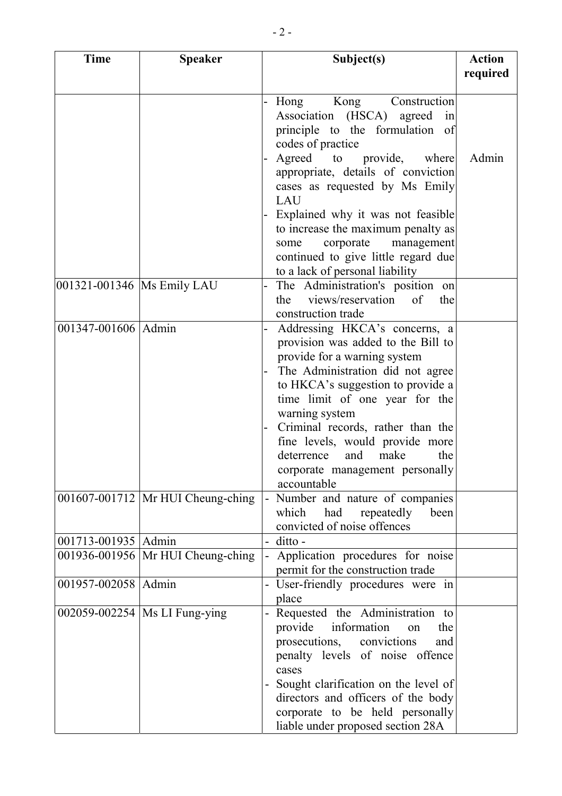| Time                         | <b>Speaker</b>                      | Subject(s)                                                                                                                                                                                                                                                                                                                                                                                     | <b>Action</b><br>required |
|------------------------------|-------------------------------------|------------------------------------------------------------------------------------------------------------------------------------------------------------------------------------------------------------------------------------------------------------------------------------------------------------------------------------------------------------------------------------------------|---------------------------|
|                              |                                     | Kong<br>Construction<br>Hong<br>Association (HSCA)<br>agreed<br>in<br>principle to the formulation of<br>codes of practice                                                                                                                                                                                                                                                                     |                           |
|                              |                                     | Agreed to provide, where<br>appropriate, details of conviction<br>cases as requested by Ms Emily<br>LAU<br>Explained why it was not feasible<br>to increase the maximum penalty as<br>corporate<br>management<br>some<br>continued to give little regard due                                                                                                                                   | Admin                     |
| 001321-001346   Ms Emily LAU |                                     | to a lack of personal liability<br>The Administration's position on<br>views/reservation<br>the<br>of<br>the<br>construction trade                                                                                                                                                                                                                                                             |                           |
| 001347-001606 Admin          |                                     | Addressing HKCA's concerns, a<br>provision was added to the Bill to<br>provide for a warning system<br>The Administration did not agree<br>to HKCA's suggestion to provide a<br>time limit of one year for the<br>warning system<br>Criminal records, rather than the<br>fine levels, would provide more<br>and<br>make<br>deterrence<br>the<br>corporate management personally<br>accountable |                           |
|                              | 001607-001712   Mr HUI Cheung-ching | Number and nature of companies<br>$\blacksquare$<br>which<br>had<br>repeatedly<br>been<br>convicted of noise offences                                                                                                                                                                                                                                                                          |                           |
| 001713-001935 Admin          | 001936-001956   Mr HUI Cheung-ching | ditto -<br>Application procedures for noise<br>permit for the construction trade                                                                                                                                                                                                                                                                                                               |                           |
| 001957-002058 Admin          |                                     | User-friendly procedures were in<br>place                                                                                                                                                                                                                                                                                                                                                      |                           |
|                              | 002059-002254   Ms LI Fung-ying     | Requested the Administration to<br>provide information<br>the<br>on<br>prosecutions, convictions<br>and<br>penalty levels of noise offence<br>cases<br>Sought clarification on the level of<br>directors and officers of the body<br>corporate to be held personally<br>liable under proposed section 28A                                                                                      |                           |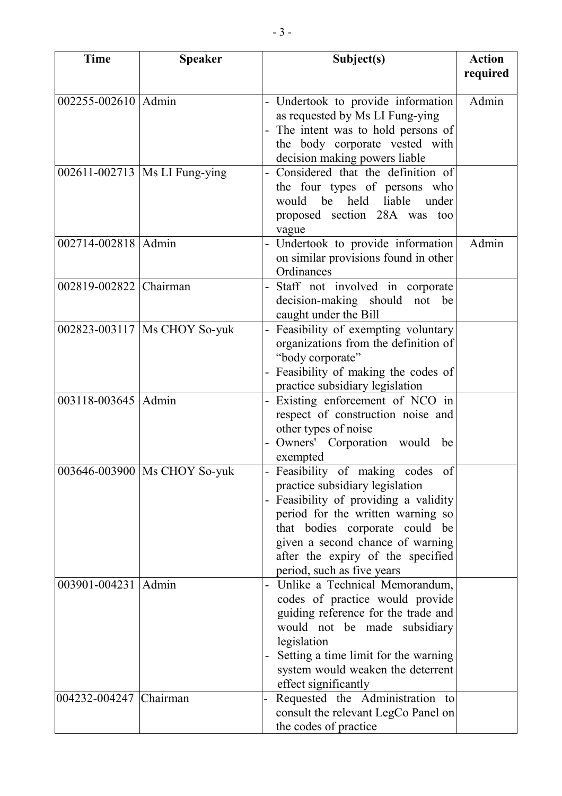| <b>Time</b>            | <b>Speaker</b>                  | Subject(s)                           | <b>Action</b> |
|------------------------|---------------------------------|--------------------------------------|---------------|
|                        |                                 |                                      | required      |
|                        |                                 |                                      |               |
| 002255-002610 Admin    |                                 | Undertook to provide information     | Admin         |
|                        |                                 | as requested by Ms LI Fung-ying      |               |
|                        |                                 | The intent was to hold persons of    |               |
|                        |                                 | the body corporate vested with       |               |
|                        |                                 | decision making powers liable        |               |
|                        | 002611-002713   Ms LI Fung-ying | Considered that the definition of    |               |
|                        |                                 | the four types of persons who        |               |
|                        |                                 | would be held liable<br>under        |               |
|                        |                                 | proposed section 28A was too         |               |
|                        |                                 | vague                                |               |
| 002714-002818 Admin    |                                 | Undertook to provide information     | Admin         |
|                        |                                 | on similar provisions found in other |               |
|                        |                                 | Ordinances                           |               |
| 002819-002822 Chairman |                                 | Staff not involved in corporate      |               |
|                        |                                 | decision-making should not be        |               |
|                        |                                 | caught under the Bill                |               |
|                        | 002823-003117   Ms CHOY So-yuk  | Feasibility of exempting voluntary   |               |
|                        |                                 | organizations from the definition of |               |
|                        |                                 | "body corporate"                     |               |
|                        |                                 | Feasibility of making the codes of   |               |
|                        |                                 | practice subsidiary legislation      |               |
| 003118-003645   Admin  |                                 | Existing enforcement of NCO in       |               |
|                        |                                 | respect of construction noise and    |               |
|                        |                                 | other types of noise                 |               |
|                        |                                 |                                      |               |
|                        |                                 | Owners' Corporation would<br>be      |               |
|                        |                                 | exempted                             |               |
|                        | 003646-003900   Ms CHOY So-yuk  | Feasibility of making codes of       |               |
|                        |                                 | practice subsidiary legislation      |               |
|                        |                                 | Feasibility of providing a validity  |               |
|                        |                                 | period for the written warning so    |               |
|                        |                                 | that bodies corporate could be       |               |
|                        |                                 | given a second chance of warning     |               |
|                        |                                 | after the expiry of the specified    |               |
|                        |                                 | period, such as five years           |               |
| 003901-004231   Admin  |                                 | Unlike a Technical Memorandum,       |               |
|                        |                                 | codes of practice would provide      |               |
|                        |                                 | guiding reference for the trade and  |               |
|                        |                                 | would not be made subsidiary         |               |
|                        |                                 | legislation                          |               |
|                        |                                 | Setting a time limit for the warning |               |
|                        |                                 | system would weaken the deterrent    |               |
|                        |                                 | effect significantly                 |               |
| 004232-004247 Chairman |                                 | Requested the Administration to      |               |
|                        |                                 | consult the relevant LegCo Panel on  |               |
|                        |                                 | the codes of practice                |               |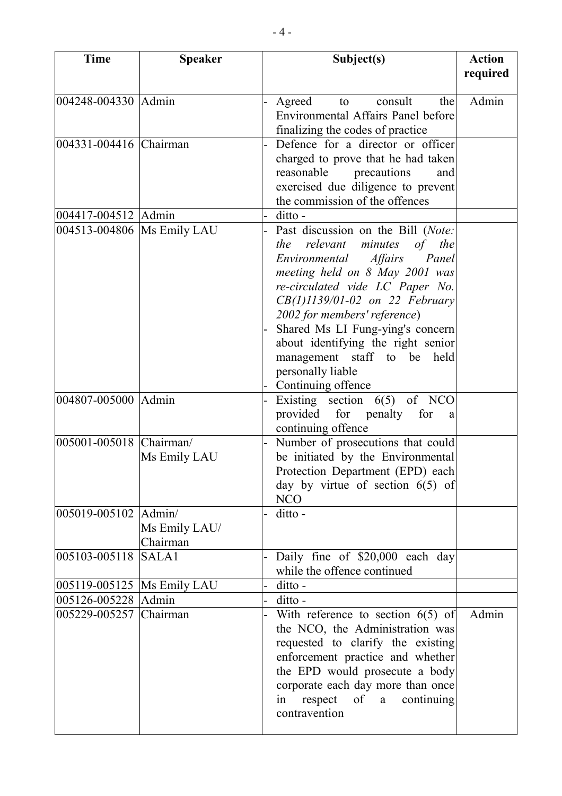| <b>Time</b>                  | <b>Speaker</b> | Subject(s)                                                            | <b>Action</b> |
|------------------------------|----------------|-----------------------------------------------------------------------|---------------|
|                              |                |                                                                       | required      |
| 004248-004330 Admin          |                | Agreed<br>to consult<br>thel                                          | Admin         |
|                              |                | Environmental Affairs Panel before                                    |               |
|                              |                | finalizing the codes of practice                                      |               |
| 004331-004416 Chairman       |                | Defence for a director or officer                                     |               |
|                              |                | charged to prove that he had taken                                    |               |
|                              |                | reasonable precautions<br>and                                         |               |
|                              |                | exercised due diligence to prevent                                    |               |
|                              |                | the commission of the offences                                        |               |
| 004417-004512 Admin          |                | ditto -                                                               |               |
| 004513-004806   Ms Emily LAU |                | Past discussion on the Bill (Note:                                    |               |
|                              |                | relevant minutes<br>of the<br>the                                     |               |
|                              |                | Environmental Affairs<br>Panel                                        |               |
|                              |                | meeting held on 8 May 2001 was                                        |               |
|                              |                | re-circulated vide LC Paper No.                                       |               |
|                              |                | $CB(1)1139/01-02$ on 22 February                                      |               |
|                              |                | 2002 for members' reference)                                          |               |
|                              |                | Shared Ms LI Fung-ying's concern                                      |               |
|                              |                | about identifying the right senior                                    |               |
|                              |                | management staff to be held                                           |               |
|                              |                | personally liable                                                     |               |
| 004807-005000 Admin          |                | Continuing offence<br>Existing section $6(5)$ of NCO                  |               |
|                              |                | provided for penalty for<br>a                                         |               |
|                              |                | continuing offence                                                    |               |
| 005001-005018 Chairman/      |                | Number of prosecutions that could                                     |               |
|                              | Ms Emily LAU   | be initiated by the Environmental                                     |               |
|                              |                | Protection Department (EPD) each                                      |               |
|                              |                | day by virtue of section $6(5)$ of                                    |               |
|                              |                | <b>NCO</b>                                                            |               |
| 005019-005102 Admin/         |                | ditto -                                                               |               |
|                              | Ms Emily LAU/  |                                                                       |               |
|                              | Chairman       |                                                                       |               |
| 005103-005118                | SALA1          | Daily fine of \$20,000 each day                                       |               |
|                              |                | while the offence continued                                           |               |
| 005119-005125   Ms Emily LAU |                | ditto -                                                               |               |
| 005126-005228 Admin          |                | ditto -                                                               |               |
| 005229-005257 Chairman       |                | With reference to section $6(5)$ of                                   | Admin         |
|                              |                | the NCO, the Administration was                                       |               |
|                              |                | requested to clarify the existing<br>enforcement practice and whether |               |
|                              |                | the EPD would prosecute a body                                        |               |
|                              |                | corporate each day more than once                                     |               |
|                              |                | of a continuing<br>respect<br>in                                      |               |
|                              |                | contravention                                                         |               |
|                              |                |                                                                       |               |